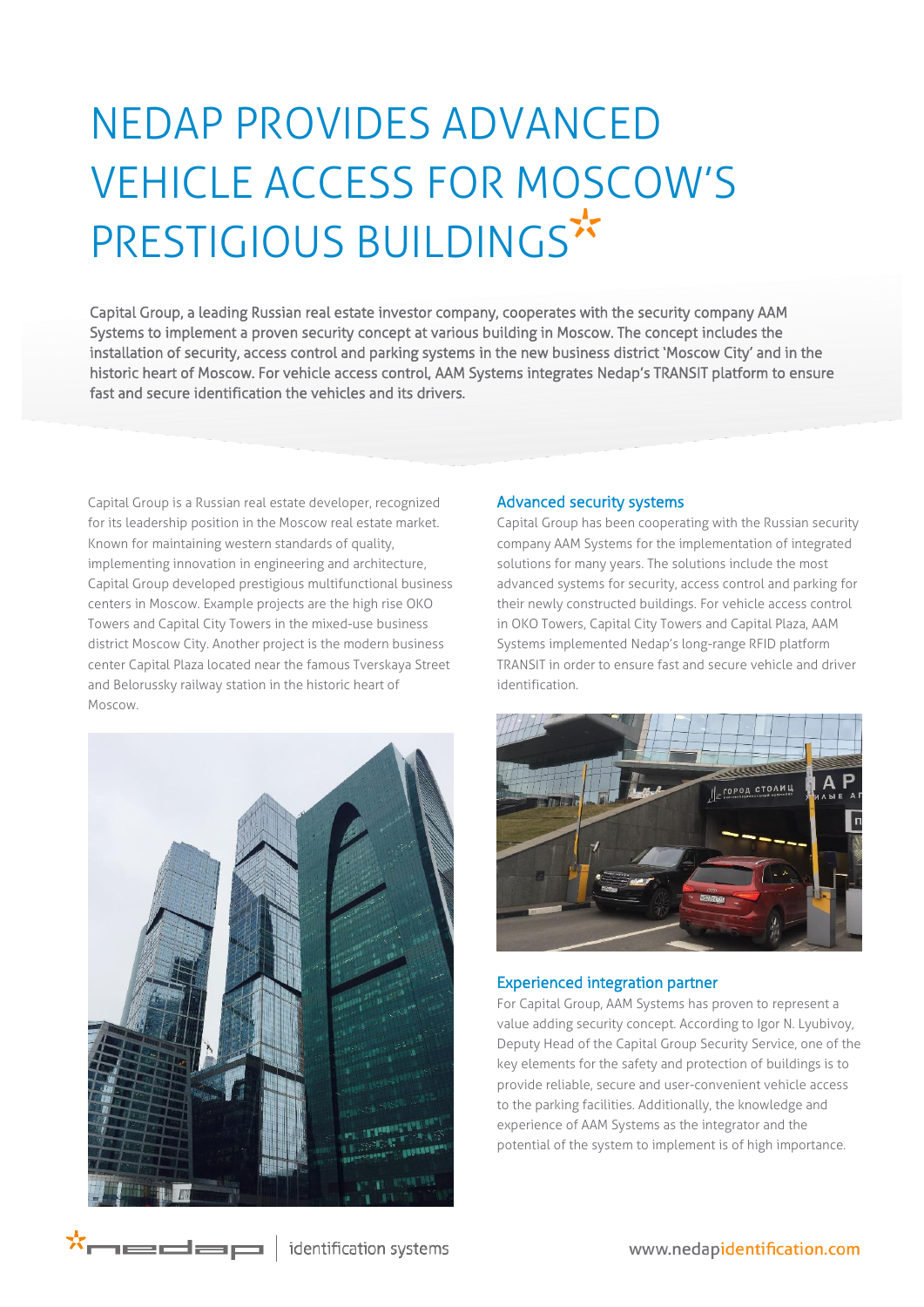# NEDAP PROVIDES ADVANCED VEHICLE ACCESS FOR MOSCOW'S PRESTIGIOUS BUILDINGS\*

Capital Group, a leading Russian real estate investor company, cooperates with the security company AAM Systems to implement a proven security concept at various building in Moscow. The concept includes the installation of security, access control and parking systems in the new business district 'Moscow City' and in the historic heart of Moscow. For vehicle access control, AAM Systems integrates Nedap's TRANSIT platform to ensure fast and secure identification the vehicles and its drivers.

Capital Group is a Russian real estate developer, recognized for its leadership position in the Moscow real estate market. Known for maintaining western standards of quality, implementing innovation in engineering and architecture, Capital Group developed prestigious multifunctional business centers in Moscow. Example projects are the high rise OKO Towers and Capital City Towers in the mixed-use business district Moscow City. Another project is the modern business center Capital Plaza located near the famous Tverskaya Street and Belorussky railway station in the historic heart of Moscow.



## Advanced security systems

Capital Group has been cooperating with the Russian security company AAM Systems for the implementation of integrated solutions for many years. The solutions include the most advanced systems for security, access control and parking for their newly constructed buildings. For vehicle access control in OKO Towers, Capital City Towers and Capital Plaza, AAM Systems implemented Nedap's long-range RFID platform TRANSIT in order to ensure fast and secure vehicle and driver identification.



### Experienced integration partner

For Capital Group, AAM Systems has proven to represent a value adding security concept. According to Igor N. Lyubivoy, Deputy Head of the Capital Group Security Service, one of the key elements for the safety and protection of buildings is to provide reliable, secure and user-convenient vehicle access to the parking facilities. Additionally, the knowledge and experience of AAM Systems as the integrator and the potential of the system to implement is of high importance.